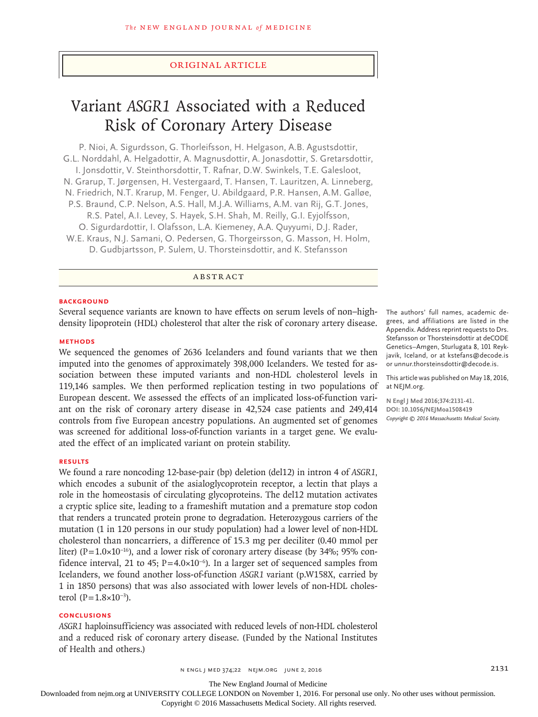## Original Article

# Variant *ASGR1* Associated with a Reduced Risk of Coronary Artery Disease

P. Nioi, A. Sigurdsson, G. Thorleifsson, H. Helgason, A.B. Agustsdottir, G.L. Norddahl, A. Helgadottir, A. Magnusdottir, A. Jonasdottir, S. Gretarsdottir, I. Jonsdottir, V. Steinthorsdottir, T. Rafnar, D.W. Swinkels, T.E. Galesloot, N. Grarup, T. Jørgensen, H. Vestergaard, T. Hansen, T. Lauritzen, A. Linneberg, N. Friedrich, N.T. Krarup, M. Fenger, U. Abildgaard, P.R. Hansen, A.M. Galløe, P.S. Braund, C.P. Nelson, A.S. Hall, M.J.A. Williams, A.M. van Rij, G.T. Jones, R.S. Patel, A.I. Levey, S. Hayek, S.H. Shah, M. Reilly, G.I. Eyjolfsson, O. Sigurdardottir, I. Olafsson, L.A. Kiemeney, A.A. Quyyumi, D.J. Rader, W.E. Kraus, N.J. Samani, O. Pedersen, G. Thorgeirsson, G. Masson, H. Holm, D. Gudbjartsson, P. Sulem, U. Thorsteinsdottir, and K. Stefansson

ABSTRACT

#### **BACKGROUND**

Several sequence variants are known to have effects on serum levels of non–highdensity lipoprotein (HDL) cholesterol that alter the risk of coronary artery disease.

#### **METHODS**

We sequenced the genomes of 2636 Icelanders and found variants that we then imputed into the genomes of approximately 398,000 Icelanders. We tested for association between these imputed variants and non-HDL cholesterol levels in 119,146 samples. We then performed replication testing in two populations of European descent. We assessed the effects of an implicated loss-of-function variant on the risk of coronary artery disease in 42,524 case patients and 249,414 controls from five European ancestry populations. An augmented set of genomes was screened for additional loss-of-function variants in a target gene. We evaluated the effect of an implicated variant on protein stability.

## **RESULTS**

We found a rare noncoding 12-base-pair (bp) deletion (del12) in intron 4 of *ASGR1,* which encodes a subunit of the asialoglycoprotein receptor, a lectin that plays a role in the homeostasis of circulating glycoproteins. The del12 mutation activates a cryptic splice site, leading to a frameshift mutation and a premature stop codon that renders a truncated protein prone to degradation. Heterozygous carriers of the mutation (1 in 120 persons in our study population) had a lower level of non-HDL cholesterol than noncarriers, a difference of 15.3 mg per deciliter (0.40 mmol per liter) (P=1.0×10−16), and a lower risk of coronary artery disease (by 34%; 95% confidence interval, 21 to 45; P=4.0×10<sup>-6</sup>). In a larger set of sequenced samples from Icelanders, we found another loss-of-function *ASGR1* variant (p.W158X, carried by 1 in 1850 persons) that was also associated with lower levels of non-HDL cholesterol  $(P=1.8\times10^{-3})$ .

#### **CONCLUSIONS**

*ASGR1* haploinsufficiency was associated with reduced levels of non-HDL cholesterol and a reduced risk of coronary artery disease. (Funded by the National Institutes of Health and others.)

The authors' full names, academic degrees, and affiliations are listed in the Appendix. Address reprint requests to Drs. Stefansson or Thorsteinsdottir at deCODE Genetics–Amgen, Sturlugata 8, 101 Reykjavik, Iceland, or at kstefans@decode.is or unnur.thorsteinsdottir@decode.is.

This article was published on May 18, 2016, at NEJM.org.

**N Engl J Med 2016;374:2131-41. DOI: 10.1056/NEJMoa1508419** *Copyright © 2016 Massachusetts Medical Society.*

The New England Journal of Medicine

Downloaded from nejm.org at UNIVERSITY COLLEGE LONDON on November 1, 2016. For personal use only. No other uses without permission.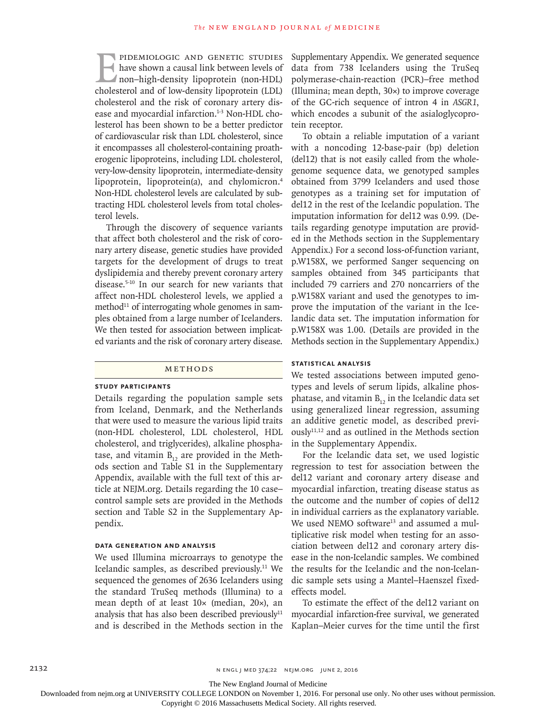PIDEMIOLOGIC AND GENETIC STUDIES<br>have shown a causal link between levels of<br>non-high-density lipoprotein (non-HDL)<br>cholesterol and of low-density lipoprotein (LDL) have shown a causal link between levels of non–high-density lipoprotein (non-HDL) cholesterol and of low-density lipoprotein (LDL) cholesterol and the risk of coronary artery disease and myocardial infarction.<sup>1-3</sup> Non-HDL cholesterol has been shown to be a better predictor of cardiovascular risk than LDL cholesterol, since it encompasses all cholesterol-containing proatherogenic lipoproteins, including LDL cholesterol, very-low-density lipoprotein, intermediate-density lipoprotein, lipoprotein(a), and chylomicron.4 Non-HDL cholesterol levels are calculated by subtracting HDL cholesterol levels from total cholesterol levels.

Through the discovery of sequence variants that affect both cholesterol and the risk of coronary artery disease, genetic studies have provided targets for the development of drugs to treat dyslipidemia and thereby prevent coronary artery disease.5-10 In our search for new variants that affect non-HDL cholesterol levels, we applied a method<sup>11</sup> of interrogating whole genomes in samples obtained from a large number of Icelanders. We then tested for association between implicated variants and the risk of coronary artery disease.

## METHODS

#### **Study Participants**

Details regarding the population sample sets from Iceland, Denmark, and the Netherlands that were used to measure the various lipid traits (non-HDL cholesterol, LDL cholesterol, HDL cholesterol, and triglycerides), alkaline phosphatase, and vitamin  $B_{12}$  are provided in the Methods section and Table S1 in the Supplementary Appendix, available with the full text of this article at NEJM.org. Details regarding the 10 case– control sample sets are provided in the Methods section and Table S2 in the Supplementary Appendix.

# **Data Generation and Analysis**

We used Illumina microarrays to genotype the Icelandic samples, as described previously.<sup>11</sup> We sequenced the genomes of 2636 Icelanders using the standard TruSeq methods (Illumina) to a mean depth of at least 10× (median, 20×), an analysis that has also been described previously $11$ and is described in the Methods section in the Supplementary Appendix. We generated sequence data from 738 Icelanders using the TruSeq polymerase-chain-reaction (PCR)–free method (Illumina; mean depth, 30×) to improve coverage of the GC-rich sequence of intron 4 in *ASGR1*, which encodes a subunit of the asialoglycoprotein receptor.

To obtain a reliable imputation of a variant with a noncoding 12-base-pair (bp) deletion (del12) that is not easily called from the wholegenome sequence data, we genotyped samples obtained from 3799 Icelanders and used those genotypes as a training set for imputation of del12 in the rest of the Icelandic population. The imputation information for del12 was 0.99. (Details regarding genotype imputation are provided in the Methods section in the Supplementary Appendix.) For a second loss-of-function variant, p.W158X, we performed Sanger sequencing on samples obtained from 345 participants that included 79 carriers and 270 noncarriers of the p.W158X variant and used the genotypes to improve the imputation of the variant in the Icelandic data set. The imputation information for p.W158X was 1.00. (Details are provided in the Methods section in the Supplementary Appendix.)

## **Statistical Analysis**

We tested associations between imputed genotypes and levels of serum lipids, alkaline phosphatase, and vitamin  $B_{12}$  in the Icelandic data set using generalized linear regression, assuming an additive genetic model, as described previously11,12 and as outlined in the Methods section in the Supplementary Appendix.

For the Icelandic data set, we used logistic regression to test for association between the del12 variant and coronary artery disease and myocardial infarction, treating disease status as the outcome and the number of copies of del12 in individual carriers as the explanatory variable. We used NEMO software<sup>13</sup> and assumed a multiplicative risk model when testing for an association between del12 and coronary artery disease in the non-Icelandic samples. We combined the results for the Icelandic and the non-Icelandic sample sets using a Mantel–Haenszel fixedeffects model.

To estimate the effect of the del12 variant on myocardial infarction-free survival, we generated Kaplan–Meier curves for the time until the first

The New England Journal of Medicine

Downloaded from nejm.org at UNIVERSITY COLLEGE LONDON on November 1, 2016. For personal use only. No other uses without permission.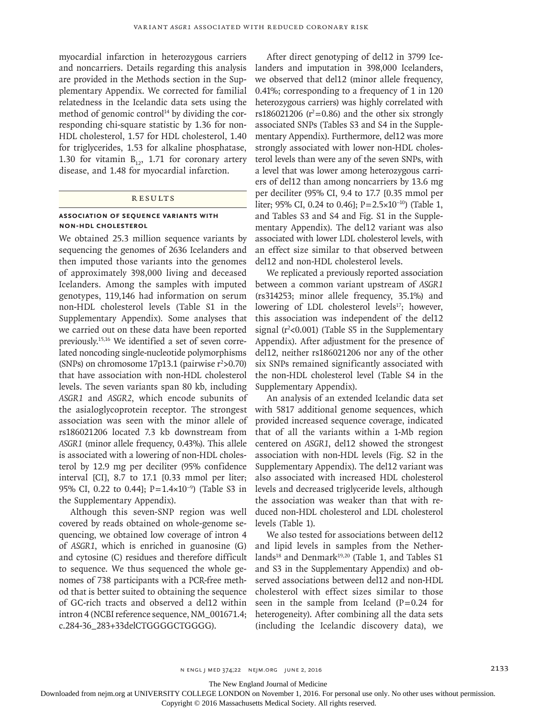myocardial infarction in heterozygous carriers and noncarriers. Details regarding this analysis are provided in the Methods section in the Supplementary Appendix. We corrected for familial relatedness in the Icelandic data sets using the method of genomic control<sup>14</sup> by dividing the corresponding chi-square statistic by 1.36 for non-HDL cholesterol, 1.57 for HDL cholesterol, 1.40 for triglycerides, 1.53 for alkaline phosphatase, 1.30 for vitamin  $B_{12}$ , 1.71 for coronary artery disease, and 1.48 for myocardial infarction.

## **RESULTS**

## **Association of Sequence Variants with Non-HDL Cholesterol**

We obtained 25.3 million sequence variants by sequencing the genomes of 2636 Icelanders and then imputed those variants into the genomes of approximately 398,000 living and deceased Icelanders. Among the samples with imputed genotypes, 119,146 had information on serum non-HDL cholesterol levels (Table S1 in the Supplementary Appendix). Some analyses that we carried out on these data have been reported previously.15,16 We identified a set of seven correlated noncoding single-nucleotide polymorphisms (SNPs) on chromosome  $17p13.1$  (pairwise  $r^2 > 0.70$ ) that have association with non-HDL cholesterol levels. The seven variants span 80 kb, including *ASGR1* and *ASGR2*, which encode subunits of the asialoglycoprotein receptor. The strongest association was seen with the minor allele of rs186021206 located 7.3 kb downstream from *ASGR1* (minor allele frequency, 0.43%). This allele is associated with a lowering of non-HDL cholesterol by 12.9 mg per deciliter (95% confidence interval [CI], 8.7 to 17.1 [0.33 mmol per liter; 95% CI, 0.22 to 0.44]; P=1.4×10<sup>-9</sup>) (Table S3 in the Supplementary Appendix).

Although this seven-SNP region was well covered by reads obtained on whole-genome sequencing, we obtained low coverage of intron 4 of *ASGR1*, which is enriched in guanosine (G) and cytosine (C) residues and therefore difficult to sequence. We thus sequenced the whole genomes of 738 participants with a PCR-free method that is better suited to obtaining the sequence of GC-rich tracts and observed a del12 within intron 4 (NCBI reference sequence, NM\_001671.4; c.284-36\_283+33delCTGGGGCTGGGG).

After direct genotyping of del12 in 3799 Icelanders and imputation in 398,000 Icelanders, we observed that del12 (minor allele frequency, 0.41%; corresponding to a frequency of 1 in 120 heterozygous carriers) was highly correlated with rs186021206 ( $r^2$ =0.86) and the other six strongly associated SNPs (Tables S3 and S4 in the Supplementary Appendix). Furthermore, del12 was more strongly associated with lower non-HDL cholesterol levels than were any of the seven SNPs, with a level that was lower among heterozygous carriers of del12 than among noncarriers by 13.6 mg per deciliter (95% CI, 9.4 to 17.7 [0.35 mmol per liter; 95% CI, 0.24 to 0.46]; P=2.5×10−10) (Table 1, and Tables S3 and S4 and Fig. S1 in the Supplementary Appendix). The del12 variant was also associated with lower LDL cholesterol levels, with an effect size similar to that observed between del12 and non-HDL cholesterol levels.

We replicated a previously reported association between a common variant upstream of *ASGR1* (rs314253; minor allele frequency, 35.1%) and lowering of LDL cholesterol levels<sup>17</sup>; however, this association was independent of the del12 signal  $(r^2<0.001)$  (Table S5 in the Supplementary Appendix). After adjustment for the presence of del12, neither rs186021206 nor any of the other six SNPs remained significantly associated with the non-HDL cholesterol level (Table S4 in the Supplementary Appendix).

An analysis of an extended Icelandic data set with 5817 additional genome sequences, which provided increased sequence coverage, indicated that of all the variants within a 1-Mb region centered on *ASGR1*, del12 showed the strongest association with non-HDL levels (Fig. S2 in the Supplementary Appendix). The del12 variant was also associated with increased HDL cholesterol levels and decreased triglyceride levels, although the association was weaker than that with reduced non-HDL cholesterol and LDL cholesterol levels (Table 1).

We also tested for associations between del12 and lipid levels in samples from the Netherlands<sup>18</sup> and Denmark<sup>19,20</sup> (Table 1, and Tables S1 and S3 in the Supplementary Appendix) and observed associations between del12 and non-HDL cholesterol with effect sizes similar to those seen in the sample from Iceland  $(P=0.24$  for heterogeneity). After combining all the data sets (including the Icelandic discovery data), we

n ENGL | MED 374;22 NEJM.ORG JUNE 2, 2016 2017 2020 2020 2033

The New England Journal of Medicine

Downloaded from nejm.org at UNIVERSITY COLLEGE LONDON on November 1, 2016. For personal use only. No other uses without permission.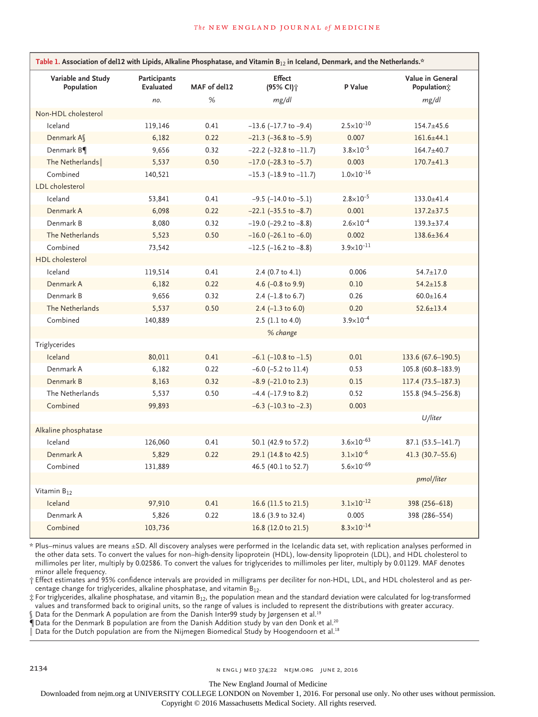| Table 1. Association of del12 with Lipids, Alkaline Phosphatase, and Vitamin B <sub>12</sub> in Iceland, Denmark, and the Netherlands.* |                           |              |                                        |                       |                                 |
|-----------------------------------------------------------------------------------------------------------------------------------------|---------------------------|--------------|----------------------------------------|-----------------------|---------------------------------|
| Variable and Study<br>Population                                                                                                        | Participants<br>Evaluated | MAF of del12 | <b>Effect</b><br>(95% CI) <sup>+</sup> | P Value               | Value in General<br>Population; |
|                                                                                                                                         | no.                       | %            | mg/dl                                  |                       | mg/dl                           |
| Non-HDL cholesterol                                                                                                                     |                           |              |                                        |                       |                                 |
| Iceland                                                                                                                                 | 119,146                   | 0.41         | $-13.6$ ( $-17.7$ to $-9.4$ )          | $2.5 \times 10^{-10}$ | $154.7 + 45.6$                  |
| Denmark A                                                                                                                               | 6,182                     | 0.22         | $-21.3$ ( $-36.8$ to $-5.9$ )          | 0.007                 | $161.6{\pm}44.1$                |
| Denmark B                                                                                                                               | 9.656                     | 0.32         | $-22.2$ ( $-32.8$ to $-11.7$ )         | $3.8 \times 10^{-5}$  | $164.7 + 40.7$                  |
| The Netherlands                                                                                                                         | 5,537                     | 0.50         | $-17.0$ ( $-28.3$ to $-5.7$ )          | 0.003                 | $170.7 + 41.3$                  |
| Combined                                                                                                                                | 140,521                   |              | $-15.3$ ( $-18.9$ to $-11.7$ )         | $1.0 \times 10^{-16}$ |                                 |
| LDL cholesterol                                                                                                                         |                           |              |                                        |                       |                                 |
| Iceland                                                                                                                                 | 53,841                    | 0.41         | $-9.5$ ( $-14.0$ to $-5.1$ )           | $2.8 \times 10^{-5}$  | $133.0 + 41.4$                  |
| Denmark A                                                                                                                               | 6,098                     | 0.22         | $-22.1$ ( $-35.5$ to $-8.7$ )          | 0.001                 | $137.2 \pm 37.5$                |
| Denmark B                                                                                                                               | 8,080                     | 0.32         | $-19.0$ ( $-29.2$ to $-8.8$ )          | $2.6 \times 10^{-4}$  | $139.3 \pm 37.4$                |
| The Netherlands                                                                                                                         | 5,523                     | 0.50         | $-16.0$ ( $-26.1$ to $-6.0$ )          | 0.002                 | $138.6 \pm 36.4$                |
| Combined                                                                                                                                | 73,542                    |              | $-12.5$ ( $-16.2$ to $-8.8$ )          | $3.9 \times 10^{-11}$ |                                 |
| <b>HDL</b> cholesterol                                                                                                                  |                           |              |                                        |                       |                                 |
| Iceland                                                                                                                                 | 119,514                   | 0.41         | 2.4 $(0.7 \text{ to } 4.1)$            | 0.006                 | $54.7 \pm 17.0$                 |
| Denmark A                                                                                                                               | 6,182                     | 0.22         | 4.6 $(-0.8$ to 9.9)                    | 0.10                  | $54.2 \pm 15.8$                 |
| Denmark B                                                                                                                               | 9,656                     | 0.32         | 2.4 $(-1.8 \text{ to } 6.7)$           | 0.26                  | $60.0 \pm 16.4$                 |
| The Netherlands                                                                                                                         | 5,537                     | 0.50         | 2.4 $(-1.3 \text{ to } 6.0)$           | 0.20                  | $52.6 \pm 13.4$                 |
| Combined                                                                                                                                | 140,889                   |              | $2.5$ (1.1 to 4.0)                     | $3.9\times10^{-4}$    |                                 |
|                                                                                                                                         |                           |              | % change                               |                       |                                 |
| Triglycerides                                                                                                                           |                           |              |                                        |                       |                                 |
| Iceland                                                                                                                                 | 80,011                    | 0.41         | $-6.1$ ( $-10.8$ to $-1.5$ )           | 0.01                  | 133.6 (67.6-190.5)              |
| Denmark A                                                                                                                               | 6,182                     | 0.22         | $-6.0$ ( $-5.2$ to 11.4)               | 0.53                  | 105.8 (60.8-183.9)              |
| Denmark B                                                                                                                               | 8,163                     | 0.32         | $-8.9$ ( $-21.0$ to 2.3)               | 0.15                  | $117.4(73.5-187.3)$             |
| The Netherlands                                                                                                                         | 5,537                     | 0.50         | $-4.4$ ( $-17.9$ to 8.2)               | 0.52                  | 155.8 (94.5-256.8)              |
| Combined                                                                                                                                | 99,893                    |              | $-6.3$ (-10.3 to -2.3)                 | 0.003                 |                                 |
|                                                                                                                                         |                           |              |                                        |                       | U/liter                         |
| Alkaline phosphatase                                                                                                                    |                           |              |                                        |                       |                                 |
| Iceland                                                                                                                                 | 126,060                   | 0.41         | 50.1 (42.9 to 57.2)                    | $3.6 \times 10^{-63}$ | $87.1(53.5 - 141.7)$            |
| Denmark A                                                                                                                               | 5,829                     | 0.22         | 29.1 (14.8 to 42.5)                    | $3.1 \times 10^{-6}$  | $41.3(30.7 - 55.6)$             |
| Combined                                                                                                                                | 131,889                   |              | 46.5 (40.1 to 52.7)                    | $5.6 \times 10^{-69}$ |                                 |
|                                                                                                                                         |                           |              |                                        |                       | <i>pmol/liter</i>               |
| Vitamin $B_{12}$                                                                                                                        |                           |              |                                        |                       |                                 |
| Iceland                                                                                                                                 | 97,910                    | 0.41         | 16.6 (11.5 to 21.5)                    | $3.1 \times 10^{-12}$ | 398 (256-618)                   |
| Denmark A                                                                                                                               | 5,826                     | 0.22         | 18.6 (3.9 to 32.4)                     | 0.005                 | 398 (286-554)                   |
| Combined                                                                                                                                | 103,736                   |              | 16.8 (12.0 to 21.5)                    | $8.3\times10^{-14}$   |                                 |

\* Plus–minus values are means ±SD. All discovery analyses were performed in the Icelandic data set, with replication analyses performed in the other data sets. To convert the values for non–high-density lipoprotein (HDL), low-density lipoprotein (LDL), and HDL cholesterol to millimoles per liter, multiply by 0.02586. To convert the values for triglycerides to millimoles per liter, multiply by 0.01129. MAF denotes minor allele frequency.

† Effect estimates and 95% confidence intervals are provided in milligrams per deciliter for non-HDL, LDL, and HDL cholesterol and as percentage change for triglycerides, alkaline phosphatase, and vitamin B<sub>12</sub>.

 $\ddagger$  For triglycerides, alkaline phosphatase, and vitamin B<sub>12</sub>, the population mean and the standard deviation were calculated for log-transformed values and transformed back to original units, so the range of values is included to represent the distributions with greater accuracy.

§ Data for the Denmark A population are from the Danish Inter99 study by Jørgensen et al.19

¶ Data for the Denmark B population are from the Danish Addition study by van den Donk et al.20

Data for the Dutch population are from the Nijmegen Biomedical Study by Hoogendoorn et al.<sup>18</sup>

2134 **n engl j med 374;22 nejm.org JUNE 2, 2016** n engl j med 374;22 nejm.org JUNE 2, 2016

The New England Journal of Medicine

Downloaded from nejm.org at UNIVERSITY COLLEGE LONDON on November 1, 2016. For personal use only. No other uses without permission.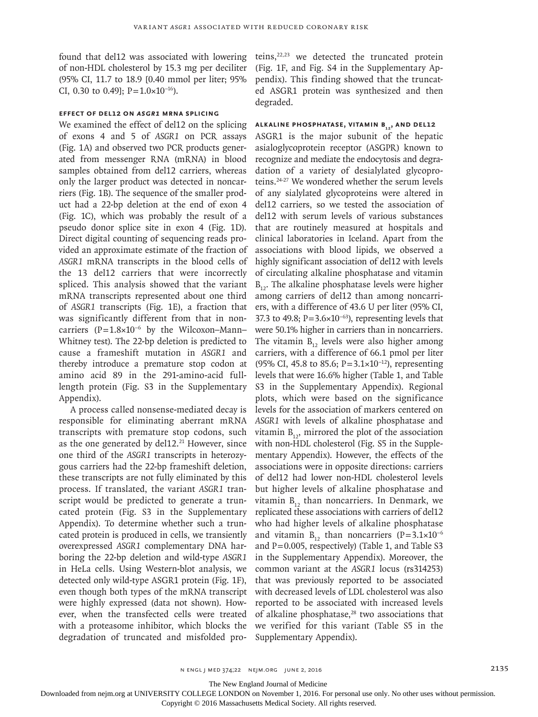found that del12 was associated with lowering of non-HDL cholesterol by 15.3 mg per deciliter (95% CI, 11.7 to 18.9 [0.40 mmol per liter; 95% CI, 0.30 to 0.49]; P= $1.0\times10^{-16}$ ).

# **Effect of del12 on** *ASGR1* **mRNA Splicing**

We examined the effect of del12 on the splicing of exons 4 and 5 of *ASGR1* on PCR assays (Fig. 1A) and observed two PCR products generated from messenger RNA (mRNA) in blood samples obtained from del12 carriers, whereas only the larger product was detected in noncarriers (Fig. 1B). The sequence of the smaller product had a 22-bp deletion at the end of exon 4 (Fig. 1C), which was probably the result of a pseudo donor splice site in exon 4 (Fig. 1D). Direct digital counting of sequencing reads provided an approximate estimate of the fraction of *ASGR1* mRNA transcripts in the blood cells of the 13 del12 carriers that were incorrectly spliced. This analysis showed that the variant mRNA transcripts represented about one third of *ASGR1* transcripts (Fig. 1E), a fraction that was significantly different from that in noncarriers (P=1.8×10−6 by the Wilcoxon–Mann– Whitney test). The 22-bp deletion is predicted to cause a frameshift mutation in *ASGR1* and thereby introduce a premature stop codon at amino acid 89 in the 291-amino-acid fulllength protein (Fig. S3 in the Supplementary Appendix).

A process called nonsense-mediated decay is responsible for eliminating aberrant mRNA transcripts with premature stop codons, such as the one generated by del $12.^{21}$  However, since one third of the *ASGR1* transcripts in heterozygous carriers had the 22-bp frameshift deletion, these transcripts are not fully eliminated by this process. If translated, the variant *ASGR1* transcript would be predicted to generate a truncated protein (Fig. S3 in the Supplementary Appendix). To determine whether such a truncated protein is produced in cells, we transiently overexpressed *ASGR1* complementary DNA harboring the 22-bp deletion and wild-type *ASGR1* in HeLa cells. Using Western-blot analysis, we detected only wild-type ASGR1 protein (Fig. 1F), even though both types of the mRNA transcript were highly expressed (data not shown). However, when the transfected cells were treated with a proteasome inhibitor, which blocks the degradation of truncated and misfolded proteins,22,23 we detected the truncated protein (Fig. 1F, and Fig. S4 in the Supplementary Appendix). This finding showed that the truncated ASGR1 protein was synthesized and then degraded.

## **ALKALINE PHOSPHATASE, VITAMIN B<sub>12</sub>, AND DEL12**

ASGR1 is the major subunit of the hepatic asialoglycoprotein receptor (ASGPR) known to recognize and mediate the endocytosis and degradation of a variety of desialylated glycoproteins.24-27 We wondered whether the serum levels of any sialylated glycoproteins were altered in del12 carriers, so we tested the association of del12 with serum levels of various substances that are routinely measured at hospitals and clinical laboratories in Iceland. Apart from the associations with blood lipids, we observed a highly significant association of del12 with levels of circulating alkaline phosphatase and vitamin  $B_{12}$ . The alkaline phosphatase levels were higher among carriers of del12 than among noncarriers, with a difference of 43.6 U per liter (95% CI, 37.3 to 49.8; P=3.6×10<sup>-63</sup>), representing levels that were 50.1% higher in carriers than in noncarriers. The vitamin  $B_{12}$  levels were also higher among carriers, with a difference of 66.1 pmol per liter (95% CI, 45.8 to 85.6; P=3.1×10−12), representing levels that were 16.6% higher (Table 1, and Table S3 in the Supplementary Appendix). Regional plots, which were based on the significance levels for the association of markers centered on *ASGR1* with levels of alkaline phosphatase and vitamin  $B_{12}$ , mirrored the plot of the association with non-HDL cholesterol (Fig. S5 in the Supplementary Appendix). However, the effects of the associations were in opposite directions: carriers of del12 had lower non-HDL cholesterol levels but higher levels of alkaline phosphatase and vitamin  $B_{12}$  than noncarriers. In Denmark, we replicated these associations with carriers of del12 who had higher levels of alkaline phosphatase and vitamin  $B_{12}$ , than noncarriers (P=3.1×10<sup>-6</sup>) and P=0.005, respectively) (Table 1, and Table S3 in the Supplementary Appendix). Moreover, the common variant at the *ASGR1* locus (rs314253) that was previously reported to be associated with decreased levels of LDL cholesterol was also reported to be associated with increased levels of alkaline phosphatase, $28$  two associations that we verified for this variant (Table S5 in the Supplementary Appendix).

The New England Journal of Medicine

Downloaded from nejm.org at UNIVERSITY COLLEGE LONDON on November 1, 2016. For personal use only. No other uses without permission.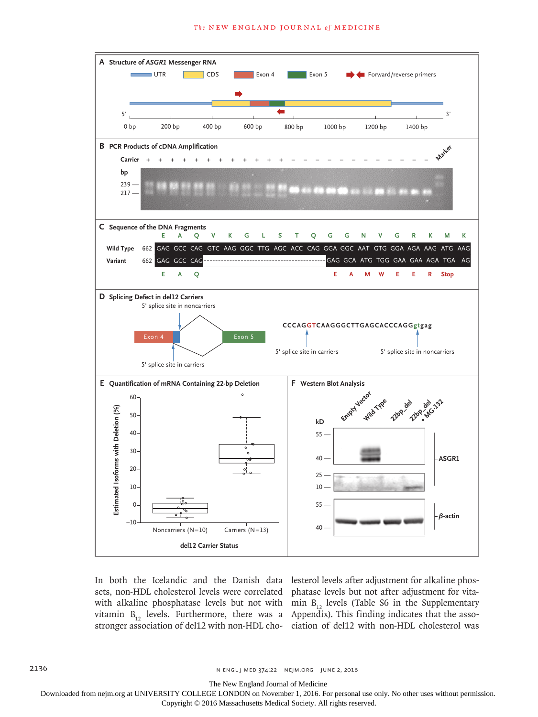

In both the Icelandic and the Danish data lesterol levels after adjustment for alkaline phosvitamin  $B_{12}$  levels. Furthermore, there was a stronger association of del12 with non-HDL cho-

sets, non-HDL cholesterol levels were correlated phatase levels but not after adjustment for vitawith alkaline phosphatase levels but not with  $m_{12}$  levels (Table S6 in the Supplementary Appendix). This finding indicates that the association of del12 with non-HDL cholesterol was

2136 **n ENGL J MED 374;22 NEIM.ORG JUNE 2, 2016** 

The New England Journal of Medicine

Downloaded from nejm.org at UNIVERSITY COLLEGE LONDON on November 1, 2016. For personal use only. No other uses without permission.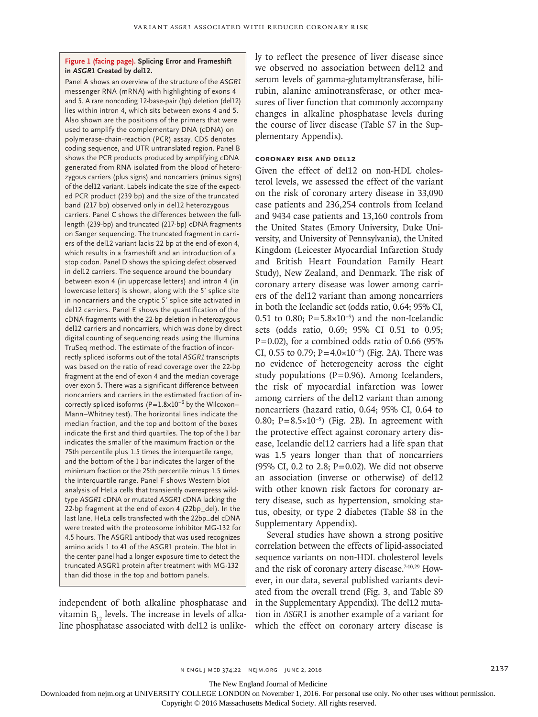#### **Figure 1 (facing page). Splicing Error and Frameshift in** *ASGR1* **Created by del12.**

Panel A shows an overview of the structure of the *ASGR1* messenger RNA (mRNA) with highlighting of exons 4 and 5. A rare noncoding 12-base-pair (bp) deletion (del12) lies within intron 4, which sits between exons 4 and 5. Also shown are the positions of the primers that were used to amplify the complementary DNA (cDNA) on polymerase-chain-reaction (PCR) assay. CDS denotes coding sequence, and UTR untranslated region. Panel B shows the PCR products produced by amplifying cDNA generated from RNA isolated from the blood of heterozygous carriers (plus signs) and noncarriers (minus signs) of the del12 variant. Labels indicate the size of the expected PCR product (239 bp) and the size of the truncated band (217 bp) observed only in del12 heterozygous carriers. Panel C shows the differences between the fulllength (239-bp) and truncated (217-bp) cDNA fragments on Sanger sequencing. The truncated fragment in carriers of the del12 variant lacks 22 bp at the end of exon 4, which results in a frameshift and an introduction of a stop codon. Panel D shows the splicing defect observed in del12 carriers. The sequence around the boundary between exon 4 (in uppercase letters) and intron 4 (in lowercase letters) is shown, along with the 5′ splice site in noncarriers and the cryptic 5′ splice site activated in del12 carriers. Panel E shows the quantification of the cDNA fragments with the 22-bp deletion in heterozygous del12 carriers and noncarriers, which was done by direct digital counting of sequencing reads using the Illumina TruSeq method. The estimate of the fraction of incorrectly spliced isoforms out of the total *ASGR1* transcripts was based on the ratio of read coverage over the 22-bp fragment at the end of exon 4 and the median coverage over exon 5. There was a significant difference between noncarriers and carriers in the estimated fraction of incorrectly spliced isoforms (P=1.8×10−6 by the Wilcoxon– Mann–Whitney test). The horizontal lines indicate the median fraction, and the top and bottom of the boxes indicate the first and third quartiles. The top of the I bar indicates the smaller of the maximum fraction or the 75th percentile plus 1.5 times the interquartile range, and the bottom of the I bar indicates the larger of the minimum fraction or the 25th percentile minus 1.5 times the interquartile range. Panel F shows Western blot analysis of HeLa cells that transiently overexpress wildtype *ASGR1* cDNA or mutated *ASGR1* cDNA lacking the 22-bp fragment at the end of exon 4 (22bp\_del). In the last lane, HeLa cells transfected with the 22bp\_del cDNA were treated with the proteosome inhibitor MG-132 for 4.5 hours. The ASGR1 antibody that was used recognizes amino acids 1 to 41 of the ASGR1 protein. The blot in the center panel had a longer exposure time to detect the truncated ASGR1 protein after treatment with MG-132 than did those in the top and bottom panels.

independent of both alkaline phosphatase and vitamin  $B_{12}$  levels. The increase in levels of alkaline phosphatase associated with del12 is unlikely to reflect the presence of liver disease since we observed no association between del12 and serum levels of gamma-glutamyltransferase, bilirubin, alanine aminotransferase, or other measures of liver function that commonly accompany changes in alkaline phosphatase levels during the course of liver disease (Table S7 in the Supplementary Appendix).

## **Coronary Risk and del12**

Given the effect of del12 on non-HDL cholesterol levels, we assessed the effect of the variant on the risk of coronary artery disease in 33,090 case patients and 236,254 controls from Iceland and 9434 case patients and 13,160 controls from the United States (Emory University, Duke University, and University of Pennsylvania), the United Kingdom (Leicester Myocardial Infarction Study and British Heart Foundation Family Heart Study), New Zealand, and Denmark. The risk of coronary artery disease was lower among carriers of the del12 variant than among noncarriers in both the Icelandic set (odds ratio, 0.64; 95% CI, 0.51 to 0.80;  $P = 5.8 \times 10^{-5}$  and the non-Icelandic sets (odds ratio, 0.69; 95% CI 0.51 to 0.95;  $P=0.02$ ), for a combined odds ratio of 0.66 (95%) CI, 0.55 to 0.79; P=4.0×10<sup>-6</sup>) (Fig. 2A). There was no evidence of heterogeneity across the eight study populations ( $P=0.96$ ). Among Icelanders, the risk of myocardial infarction was lower among carriers of the del12 variant than among noncarriers (hazard ratio, 0.64; 95% CI, 0.64 to 0.80; P=8.5×10−5) (Fig. 2B). In agreement with the protective effect against coronary artery disease, Icelandic del12 carriers had a life span that was 1.5 years longer than that of noncarriers (95% CI, 0.2 to 2.8;  $P = 0.02$ ). We did not observe an association (inverse or otherwise) of del12 with other known risk factors for coronary artery disease, such as hypertension, smoking status, obesity, or type 2 diabetes (Table S8 in the Supplementary Appendix).

Several studies have shown a strong positive correlation between the effects of lipid-associated sequence variants on non-HDL cholesterol levels and the risk of coronary artery disease.<sup>7-10,29</sup> However, in our data, several published variants deviated from the overall trend (Fig. 3, and Table S9 in the Supplementary Appendix). The del12 mutation in *ASGR1* is another example of a variant for which the effect on coronary artery disease is

The New England Journal of Medicine

Downloaded from nejm.org at UNIVERSITY COLLEGE LONDON on November 1, 2016. For personal use only. No other uses without permission.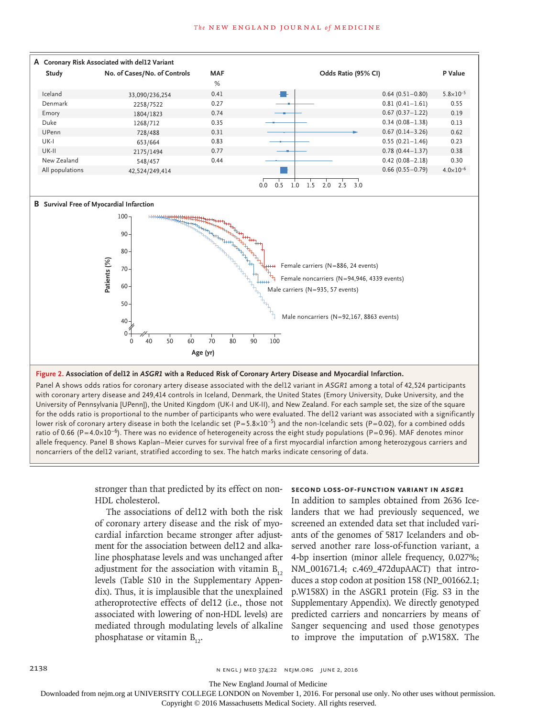

**Figure 2. Association of del12 in** *ASGR1* **with a Reduced Risk of Coronary Artery Disease and Myocardial Infarction.**

Panel A shows odds ratios for coronary artery disease associated with the del12 variant in *ASGR1* among a total of 42,524 participants with coronary artery disease and 249,414 controls in Iceland, Denmark, the United States (Emory University, Duke University, and the University of Pennsylvania [UPenn]), the United Kingdom (UK-I and UK-II), and New Zealand. For each sample set, the size of the square for the odds ratio is proportional to the number of participants who were evaluated. The del12 variant was associated with a significantly lower risk of coronary artery disease in both the Icelandic set (P=5.8×10−5) and the non-Icelandic sets (P=0.02), for a combined odds ratio of 0.66 (P=4.0×10<sup>-6</sup>). There was no evidence of heterogeneity across the eight study populations (P=0.96). MAF denotes minor allele frequency. Panel B shows Kaplan–Meier curves for survival free of a first myocardial infarction among heterozygous carriers and noncarriers of the del12 variant, stratified according to sex. The hatch marks indicate censoring of data.

> stronger than that predicted by its effect on non-HDL cholesterol.

> The associations of del12 with both the risk of coronary artery disease and the risk of myocardial infarction became stronger after adjustment for the association between del12 and alkaline phosphatase levels and was unchanged after adjustment for the association with vitamin  $B_{12}$ levels (Table S10 in the Supplementary Appendix). Thus, it is implausible that the unexplained atheroprotective effects of del12 (i.e., those not associated with lowering of non-HDL levels) are mediated through modulating levels of alkaline phosphatase or vitamin  $B_{12}$ .

## **Second Loss-of-Function Variant in** *ASGR1*

In addition to samples obtained from 2636 Icelanders that we had previously sequenced, we screened an extended data set that included variants of the genomes of 5817 Icelanders and observed another rare loss-of-function variant, a 4-bp insertion (minor allele frequency, 0.027%; NM\_001671.4; c.469\_472dupAACT) that introduces a stop codon at position 158 (NP\_001662.1; p.W158X) in the ASGR1 protein (Fig. S3 in the Supplementary Appendix). We directly genotyped predicted carriers and noncarriers by means of Sanger sequencing and used those genotypes to improve the imputation of p.W158X. The

The New England Journal of Medicine

Downloaded from nejm.org at UNIVERSITY COLLEGE LONDON on November 1, 2016. For personal use only. No other uses without permission.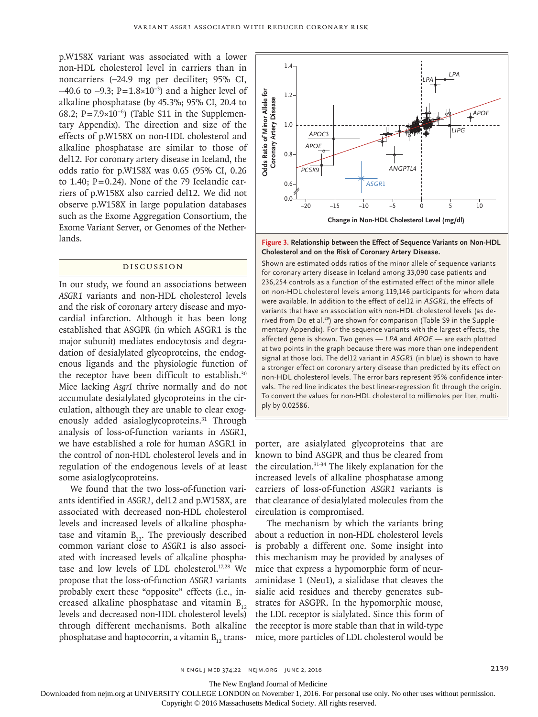p.W158X variant was associated with a lower non-HDL cholesterol level in carriers than in noncarriers (−24.9 mg per deciliter; 95% CI, −40.6 to −9.3; P=1.8×10−3) and a higher level of alkaline phosphatase (by 45.3%; 95% CI, 20.4 to 68.2; P=7.9×10−6) (Table S11 in the Supplementary Appendix). The direction and size of the effects of p.W158X on non-HDL cholesterol and alkaline phosphatase are similar to those of del12. For coronary artery disease in Iceland, the odds ratio for p.W158X was 0.65 (95% CI, 0.26 to 1.40;  $P=0.24$ ). None of the 79 Icelandic carriers of p.W158X also carried del12. We did not observe p.W158X in large population databases such as the Exome Aggregation Consortium, the Exome Variant Server, or Genomes of the Netherlands.

## Discussion

In our study, we found an associations between *ASGR1* variants and non-HDL cholesterol levels and the risk of coronary artery disease and myocardial infarction. Although it has been long established that ASGPR (in which ASGR1 is the major subunit) mediates endocytosis and degradation of desialylated glycoproteins, the endogenous ligands and the physiologic function of the receptor have been difficult to establish.<sup>30</sup> Mice lacking *Asgr1* thrive normally and do not accumulate desialylated glycoproteins in the circulation, although they are unable to clear exogenously added asialoglycoproteins.<sup>31</sup> Through analysis of loss-of-function variants in *ASGR1*, we have established a role for human ASGR1 in the control of non-HDL cholesterol levels and in regulation of the endogenous levels of at least some asialoglycoproteins.

We found that the two loss-of-function variants identified in *ASGR1*, del12 and p.W158X, are associated with decreased non-HDL cholesterol levels and increased levels of alkaline phosphatase and vitamin  $B_{12}$ . The previously described common variant close to *ASGR1* is also associated with increased levels of alkaline phosphatase and low levels of LDL cholesterol.17,28 We propose that the loss-of-function *ASGR1* variants probably exert these "opposite" effects (i.e., increased alkaline phosphatase and vitamin  $B_{12}$ levels and decreased non-HDL cholesterol levels) the LDL receptor is sialylated. Since this form of through different mechanisms. Both alkaline the receptor is more stable than that in wild-type phosphatase and haptocorrin, a vitamin  $B_{12}$  trans-



**Figure 3. Relationship between the Effect of Sequence Variants on Non-HDL Cholesterol and on the Risk of Coronary Artery Disease.**

Shown are estimated odds ratios of the minor allele of sequence variants for coronary artery disease in Iceland among 33,090 case patients and 236,254 controls as a function of the estimated effect of the minor allele on non-HDL cholesterol levels among 119,146 participants for whom data were available. In addition to the effect of del12 in *ASGR1*, the effects of variants that have an association with non-HDL cholesterol levels (as derived from Do et al.<sup>29</sup>) are shown for comparison (Table S9 in the Supplementary Appendix). For the sequence variants with the largest effects, the affected gene is shown. Two genes — *LPA* and *APOE* — are each plotted at two points in the graph because there was more than one independent signal at those loci. The del12 variant in *ASGR1* (in blue) is shown to have a stronger effect on coronary artery disease than predicted by its effect on non-HDL cholesterol levels. The error bars represent 95% confidence intervals. The red line indicates the best linear-regression fit through the origin. To convert the values for non-HDL cholesterol to millimoles per liter, multiply by 0.02586.

porter, are asialylated glycoproteins that are known to bind ASGPR and thus be cleared from the circulation.31-34 The likely explanation for the increased levels of alkaline phosphatase among carriers of loss-of-function *ASGR1* variants is that clearance of desialylated molecules from the circulation is compromised.

The mechanism by which the variants bring about a reduction in non-HDL cholesterol levels is probably a different one. Some insight into this mechanism may be provided by analyses of mice that express a hypomorphic form of neuraminidase 1 (Neu1), a sialidase that cleaves the sialic acid residues and thereby generates substrates for ASGPR. In the hypomorphic mouse, mice, more particles of LDL cholesterol would be

The New England Journal of Medicine

Downloaded from nejm.org at UNIVERSITY COLLEGE LONDON on November 1, 2016. For personal use only. No other uses without permission.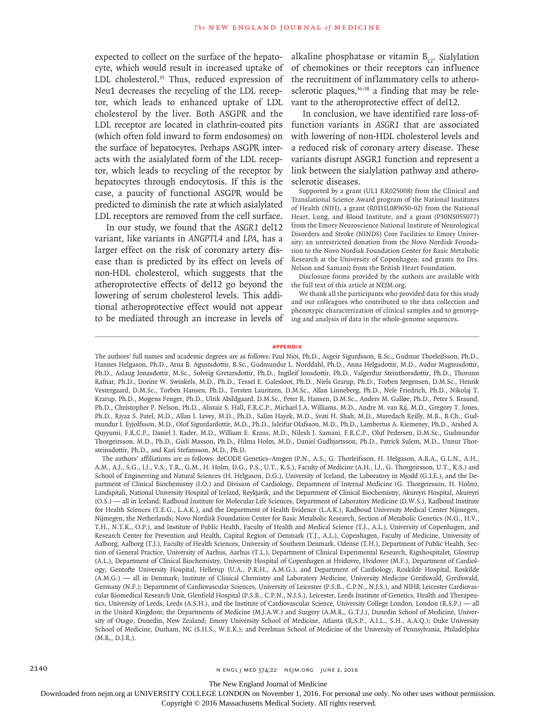expected to collect on the surface of the hepatocyte, which would result in increased uptake of LDL cholesterol.<sup>35</sup> Thus, reduced expression of Neu1 decreases the recycling of the LDL receptor, which leads to enhanced uptake of LDL cholesterol by the liver. Both ASGPR and the LDL receptor are located in clathrin-coated pits (which often fold inward to form endosomes) on the surface of hepatocytes. Perhaps ASGPR interacts with the asialylated form of the LDL receptor, which leads to recycling of the receptor by hepatocytes through endocytosis. If this is the case, a paucity of functional ASGPR would be predicted to diminish the rate at which asialylated LDL receptors are removed from the cell surface.

In our study, we found that the *ASGR1* del12 variant, like variants in *ANGPTL4* and *LPA*, has a larger effect on the risk of coronary artery disease than is predicted by its effect on levels of non-HDL cholesterol, which suggests that the atheroprotective effects of del12 go beyond the lowering of serum cholesterol levels. This additional atheroprotective effect would not appear to be mediated through an increase in levels of

alkaline phosphatase or vitamin  $B_{12}$ . Sialylation of chemokines or their receptors can influence the recruitment of inflammatory cells to atherosclerotic plaques,  $36-38$  a finding that may be relevant to the atheroprotective effect of del12.

In conclusion, we have identified rare loss-offunction variants in *ASGR1* that are associated with lowering of non-HDL cholesterol levels and a reduced risk of coronary artery disease. These variants disrupt ASGR1 function and represent a link between the sialylation pathway and atherosclerotic diseases.

Supported by a grant (UL1 RR025008) from the Clinical and Translational Science Award program of the National Institutes of Health (NIH), a grant (R01HL089650-02) from the National Heart, Lung, and Blood Institute, and a grant (P30NS055077) from the Emory Neuroscience National Institute of Neurological Disorders and Stroke (NINDS) Core Facilities to Emory University; an unrestricted donation from the Novo Nordisk Foundation to the Novo Nordisk Foundation Center for Basic Metabolic Research at the University of Copenhagen; and grants (to Drs. Nelson and Samani) from the British Heart Foundation.

Disclosure forms provided by the authors are available with the full text of this article at NEJM.org.

We thank all the participants who provided data for this study and our colleagues who contributed to the data collection and phenotypic characterization of clinical samples and to genotyping and analysis of data in the whole-genome sequences.

#### **Appendix**

The authors' affiliations are as follows: deCODE Genetics–Amgen (P.N., A.S., G. Thorleifsson, H. Helgason, A.B.A., G.L.N., A.H., A.M., A.J., S.G., I.J., V.S., T.R., G.M., H. Holm, D.G., P.S., U.T., K.S.), Faculty of Medicine (A.H., I.J., G. Thorgeirsson, U.T., K.S.) and School of Engineering and Natural Sciences (H. Helgason, D.G.), University of Iceland, the Laboratory in Mjodd (G.I.E.), and the Department of Clinical Biochemistry (I.O.) and Division of Cardiology, Department of Internal Medicine (G. Thorgeirsson, H. Holm), Landspitali, National University Hospital of Iceland, Reykjavik, and the Department of Clinical Biochemistry, Akureyri Hospital, Akureyri (O.S.) — all in Iceland; Radboud Institute for Molecular Life Sciences, Department of Laboratory Medicine (D.W.S.), Radboud Institute for Health Sciences (T.E.G., L.A.K.), and the Department of Health Evidence (L.A.K.), Radboud University Medical Center Nijmegen, Nijmegen, the Netherlands; Novo Nordisk Foundation Center for Basic Metabolic Research, Section of Metabolic Genetics (N.G., H.V., T.H., N.T.K., O.P.), and Institute of Public Health, Faculty of Health and Medical Science (T.J., A.L.), University of Copenhagen, and Research Center for Prevention and Health, Capital Region of Denmark (T.J., A.L.), Copenhagen, Faculty of Medicine, University of Aalborg, Aalborg (T.J.), Faculty of Health Sciences, University of Southern Denmark, Odense (T.H.), Department of Public Health, Section of General Practice, University of Aarhus, Aarhus (T.L.), Department of Clinical Experimental Research, Rigshospitalet, Glostrup (A.L.), Department of Clinical Biochemistry, University Hospital of Copenhagen at Hvidovre, Hvidovre (M.F.), Department of Cardiology, Gentofte University Hospital, Hellerup (U.A., P.R.H., A.M.G.), and Department of Cardiology, Roskilde Hospital, Roskilde (A.M.G.) — all in Denmark; Institute of Clinical Chemistry and Laboratory Medicine, University Medicine Greifswald, Greifswald, Germany (N.F.); Department of Cardiovascular Sciences, University of Leicester (P.S.B., C.P.N., N.J.S.), and NIHR Leicester Cardiovascular Biomedical Research Unit, Glenfield Hospital (P.S.B., C.P.N., N.J.S.), Leicester, Leeds Institute of Genetics, Health and Therapeutics, University of Leeds, Leeds (A.S.H.), and the Institute of Cardiovascular Science, University College London, London (R.S.P.) — all in the United Kingdom; the Departments of Medicine (M.J.A.W.) and Surgery (A.M.R., G.T.J.), Dunedin School of Medicine, University of Otago, Dunedin, New Zealand; Emory University School of Medicine, Atlanta (R.S.P., A.I.L., S.H., A.A.Q.); Duke University School of Medicine, Durham, NC (S.H.S., W.E.K.); and Perelman School of Medicine of the University of Pennsylvania, Philadelphia (M.R., D.J.R.).

The New England Journal of Medicine

Downloaded from nejm.org at UNIVERSITY COLLEGE LONDON on November 1, 2016. For personal use only. No other uses without permission.

The authors' full names and academic degrees are as follows: Paul Nioi, Ph.D., Asgeir Sigurdsson, B.Sc., Gudmar Thorleifsson, Ph.D., Hannes Helgason, Ph.D., Arna B. Agustsdottir, B.Sc., Gudmundur L. Norddahl, Ph.D., Anna Helgadottir, M.D., Audur Magnusdottir, Ph.D., Aslaug Jonasdottir, M.Sc., Solveig Gretarsdottir, Ph.D., Ingileif Jonsdottir, Ph.D., Valgerdur Steinthorsdottir, Ph.D., Thorunn Rafnar, Ph.D., Dorine W. Swinkels, M.D., Ph.D., Tessel E. Galesloot, Ph.D., Niels Grarup, Ph.D., Torben Jørgensen, D.M.Sc., Henrik Vestergaard, D.M.Sc., Torben Hansen, Ph.D., Torsten Lauritzen, D.M.Sc., Allan Linneberg, Ph.D., Nele Friedrich, Ph.D., Nikolaj T. Krarup, Ph.D., Mogens Fenger, Ph.D., Ulrik Abildgaard, D.M.Sc., Peter R. Hansen, D.M.Sc., Anders M. Galløe, Ph.D., Peter S. Braund, Ph.D., Christopher P. Nelson, Ph.D., Alistair S. Hall, F.R.C.P., Michael J.A. Williams, M.D., Andre M. van Rij, M.D., Gregory T. Jones, Ph.D., Riyaz S. Patel, M.D., Allan I. Levey, M.D., Ph.D., Salim Hayek, M.D., Svati H. Shah, M.D., Muredach Reilly, M.B., B.Ch., Gudmundur I. Eyjolfsson, M.D., Olof Sigurdardottir, M.D., Ph.D., Isleifur Olafsson, M.D., Ph.D., Lambertus A. Kiemeney, Ph.D., Arshed A. Quyyumi, F.R.C.P., Daniel J. Rader, M.D., William E. Kraus, M.D., Nilesh J. Samani, F.R.C.P., Oluf Pedersen, D.M.Sc., Gudmundur Thorgeirsson, M.D., Ph.D., Gisli Masson, Ph.D., Hilma Holm, M.D., Daniel Gudbjartsson, Ph.D., Patrick Sulem, M.D., Unnur Thorsteinsdottir, Ph.D., and Kari Stefansson, M.D., Ph.D.